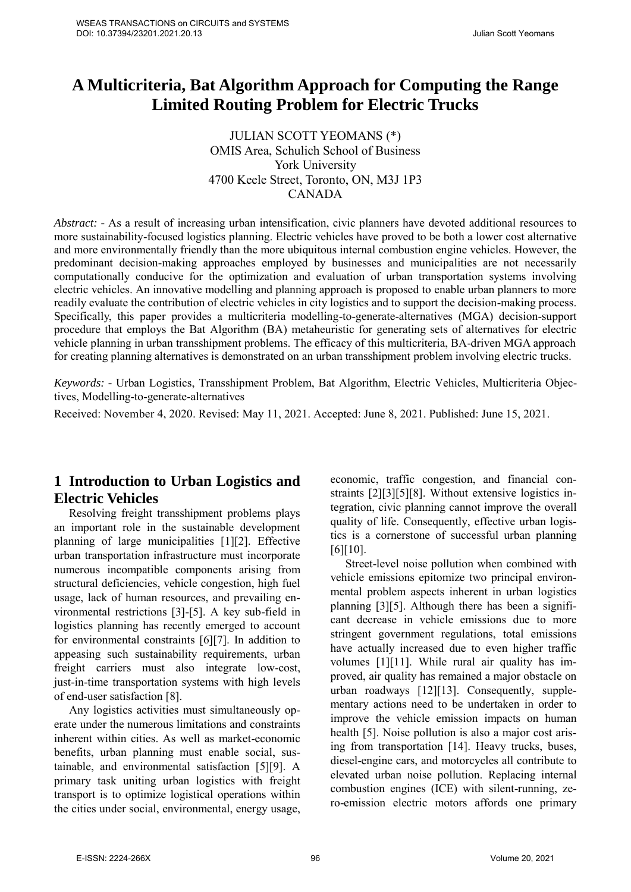# **A Multicriteria, Bat Algorithm Approach for Computing the Range Limited Routing Problem for Electric Trucks**

JULIAN SCOTT YEOMANS (\*) OMIS Area, Schulich School of Business York University 4700 Keele Street, Toronto, ON, M3J 1P3 CANADA

*Abstract: -* As a result of increasing urban intensification, civic planners have devoted additional resources to more sustainability-focused logistics planning. Electric vehicles have proved to be both a lower cost alternative and more environmentally friendly than the more ubiquitous internal combustion engine vehicles. However, the predominant decision-making approaches employed by businesses and municipalities are not necessarily computationally conducive for the optimization and evaluation of urban transportation systems involving electric vehicles. An innovative modelling and planning approach is proposed to enable urban planners to more readily evaluate the contribution of electric vehicles in city logistics and to support the decision-making process. Specifically, this paper provides a multicriteria modelling-to-generate-alternatives (MGA) decision-support procedure that employs the Bat Algorithm (BA) metaheuristic for generating sets of alternatives for electric vehicle planning in urban transshipment problems. The efficacy of this multicriteria, BA-driven MGA approach for creating planning alternatives is demonstrated on an urban transshipment problem involving electric trucks.

*Keywords: -* Urban Logistics, Transshipment Problem, Bat Algorithm, Electric Vehicles, Multicriteria Objectives, Modelling-to-generate-alternatives

Received: November 4, 2020. Revised: May 11, 2021. Accepted: June 8, 2021. Published: June 15, 2021.

## **1 Introduction to Urban Logistics and Electric Vehicles**

Resolving freight transshipment problems plays an important role in the sustainable development planning of large municipalities [1][2]. Effective urban transportation infrastructure must incorporate numerous incompatible components arising from structural deficiencies, vehicle congestion, high fuel usage, lack of human resources, and prevailing environmental restrictions [3]-[5]. A key sub-field in logistics planning has recently emerged to account for environmental constraints [6][7]. In addition to appeasing such sustainability requirements, urban freight carriers must also integrate low-cost, just-in-time transportation systems with high levels of end-user satisfaction [8].

Any logistics activities must simultaneously operate under the numerous limitations and constraints inherent within cities. As well as market-economic benefits, urban planning must enable social, sustainable, and environmental satisfaction [5][9]. A primary task uniting urban logistics with freight transport is to optimize logistical operations within the cities under social, environmental, energy usage, economic, traffic congestion, and financial constraints [2][3][5][8]. Without extensive logistics integration, civic planning cannot improve the overall quality of life. Consequently, effective urban logistics is a cornerstone of successful urban planning [6][10].

Street-level noise pollution when combined with vehicle emissions epitomize two principal environmental problem aspects inherent in urban logistics planning [3][5]. Although there has been a significant decrease in vehicle emissions due to more stringent government regulations, total emissions have actually increased due to even higher traffic volumes [1][11]. While rural air quality has improved, air quality has remained a major obstacle on urban roadways [12][13]. Consequently, supplementary actions need to be undertaken in order to improve the vehicle emission impacts on human health [5]. Noise pollution is also a major cost arising from transportation [14]. Heavy trucks, buses, diesel-engine cars, and motorcycles all contribute to elevated urban noise pollution. Replacing internal combustion engines (ICE) with silent-running, zero-emission electric motors affords one primary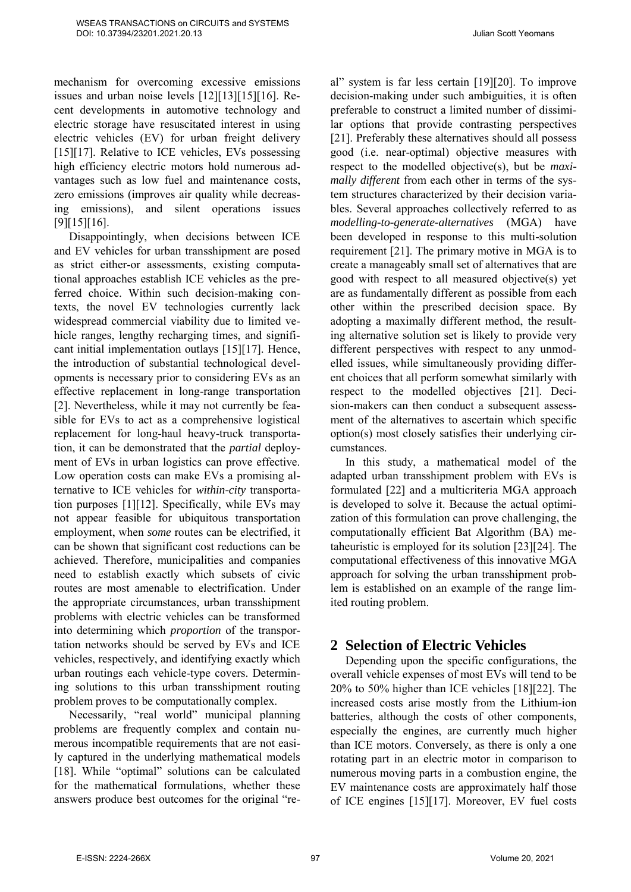mechanism for overcoming excessive emissions issues and urban noise levels [12][13][15][16]. Recent developments in automotive technology and electric storage have resuscitated interest in using electric vehicles (EV) for urban freight delivery [15][17]. Relative to ICE vehicles, EVs possessing high efficiency electric motors hold numerous advantages such as low fuel and maintenance costs, zero emissions (improves air quality while decreasing emissions), and silent operations issues [9][15][16].

Disappointingly, when decisions between ICE and EV vehicles for urban transshipment are posed as strict either-or assessments, existing computational approaches establish ICE vehicles as the preferred choice. Within such decision-making contexts, the novel EV technologies currently lack widespread commercial viability due to limited vehicle ranges, lengthy recharging times, and significant initial implementation outlays [15][17]. Hence, the introduction of substantial technological developments is necessary prior to considering EVs as an effective replacement in long-range transportation [2]. Nevertheless, while it may not currently be feasible for EVs to act as a comprehensive logistical replacement for long-haul heavy-truck transportation, it can be demonstrated that the *partial* deployment of EVs in urban logistics can prove effective. Low operation costs can make EVs a promising alternative to ICE vehicles for *within-city* transportation purposes [1][12]. Specifically, while EVs may not appear feasible for ubiquitous transportation employment, when *some* routes can be electrified, it can be shown that significant cost reductions can be achieved. Therefore, municipalities and companies need to establish exactly which subsets of civic routes are most amenable to electrification. Under the appropriate circumstances, urban transshipment problems with electric vehicles can be transformed into determining which *proportion* of the transportation networks should be served by EVs and ICE vehicles, respectively, and identifying exactly which urban routings each vehicle-type covers. Determining solutions to this urban transshipment routing problem proves to be computationally complex.

Necessarily, "real world" municipal planning problems are frequently complex and contain numerous incompatible requirements that are not easily captured in the underlying mathematical models [18]. While "optimal" solutions can be calculated for the mathematical formulations, whether these answers produce best outcomes for the original "real" system is far less certain [19][20]. To improve decision-making under such ambiguities, it is often preferable to construct a limited number of dissimilar options that provide contrasting perspectives [21]. Preferably these alternatives should all possess good (i.e. near-optimal) objective measures with respect to the modelled objective(s), but be *maximally different* from each other in terms of the system structures characterized by their decision variables. Several approaches collectively referred to as *modelling-to-generate-alternatives* (MGA) have been developed in response to this multi-solution requirement [21]. The primary motive in MGA is to create a manageably small set of alternatives that are good with respect to all measured objective(s) yet are as fundamentally different as possible from each other within the prescribed decision space. By adopting a maximally different method, the resulting alternative solution set is likely to provide very different perspectives with respect to any unmodelled issues, while simultaneously providing different choices that all perform somewhat similarly with respect to the modelled objectives [21]. Decision-makers can then conduct a subsequent assessment of the alternatives to ascertain which specific option(s) most closely satisfies their underlying circumstances.

In this study, a mathematical model of the adapted urban transshipment problem with EVs is formulated [22] and a multicriteria MGA approach is developed to solve it. Because the actual optimization of this formulation can prove challenging, the computationally efficient Bat Algorithm (BA) metaheuristic is employed for its solution [23][24]. The computational effectiveness of this innovative MGA approach for solving the urban transshipment problem is established on an example of the range limited routing problem.

## **2 Selection of Electric Vehicles**

Depending upon the specific configurations, the overall vehicle expenses of most EVs will tend to be 20% to 50% higher than ICE vehicles [18][22]. The increased costs arise mostly from the Lithium-ion batteries, although the costs of other components, especially the engines, are currently much higher than ICE motors. Conversely, as there is only a one rotating part in an electric motor in comparison to numerous moving parts in a combustion engine, the EV maintenance costs are approximately half those of ICE engines [15][17]. Moreover, EV fuel costs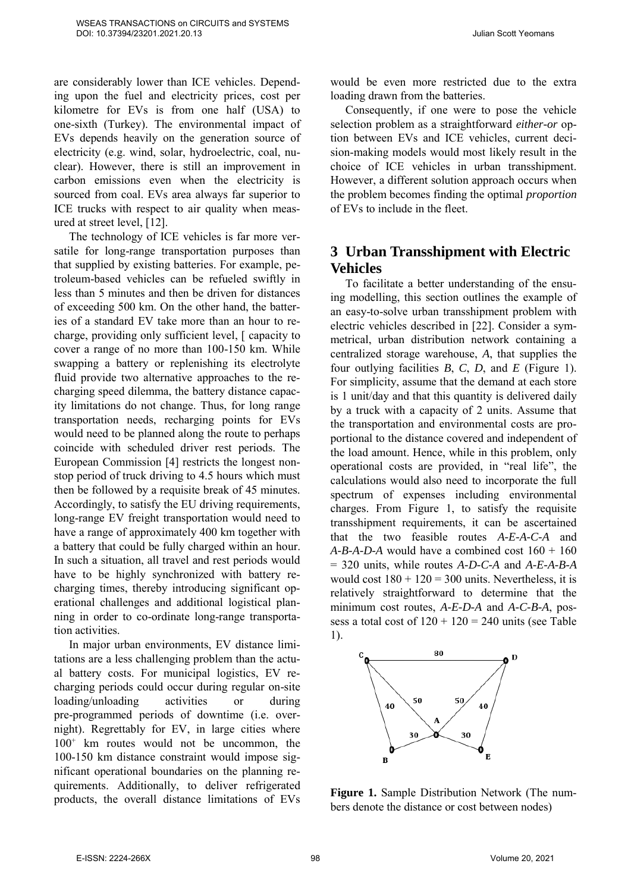are considerably lower than ICE vehicles. Depending upon the fuel and electricity prices, cost per kilometre for EVs is from one half (USA) to one-sixth (Turkey). The environmental impact of EVs depends heavily on the generation source of electricity (e.g. wind, solar, hydroelectric, coal, nuclear). However, there is still an improvement in carbon emissions even when the electricity is sourced from coal. EVs area always far superior to ICE trucks with respect to air quality when measured at street level, [12].

The technology of ICE vehicles is far more versatile for long-range transportation purposes than that supplied by existing batteries. For example, petroleum-based vehicles can be refueled swiftly in less than 5 minutes and then be driven for distances of exceeding 500 km. On the other hand, the batteries of a standard EV take more than an hour to recharge, providing only sufficient level, [ capacity to cover a range of no more than 100-150 km. While swapping a battery or replenishing its electrolyte fluid provide two alternative approaches to the recharging speed dilemma, the battery distance capacity limitations do not change. Thus, for long range transportation needs, recharging points for EVs would need to be planned along the route to perhaps coincide with scheduled driver rest periods. The European Commission [4] restricts the longest nonstop period of truck driving to 4.5 hours which must then be followed by a requisite break of 45 minutes. Accordingly, to satisfy the EU driving requirements, long-range EV freight transportation would need to have a range of approximately 400 km together with a battery that could be fully charged within an hour. In such a situation, all travel and rest periods would have to be highly synchronized with battery recharging times, thereby introducing significant operational challenges and additional logistical planning in order to co-ordinate long-range transportation activities.

In major urban environments, EV distance limitations are a less challenging problem than the actual battery costs. For municipal logistics, EV recharging periods could occur during regular on-site loading/unloading activities or during pre-programmed periods of downtime (i.e. overnight). Regrettably for EV, in large cities where 100<sup>+</sup> km routes would not be uncommon, the 100-150 km distance constraint would impose significant operational boundaries on the planning requirements. Additionally, to deliver refrigerated products, the overall distance limitations of EVs

would be even more restricted due to the extra loading drawn from the batteries.

Consequently, if one were to pose the vehicle selection problem as a straightforward *either-or* option between EVs and ICE vehicles, current decision-making models would most likely result in the choice of ICE vehicles in urban transshipment. However, a different solution approach occurs when the problem becomes finding the optimal *proportion* of EVs to include in the fleet.

## **3 Urban Transshipment with Electric Vehicles**

To facilitate a better understanding of the ensuing modelling, this section outlines the example of an easy-to-solve urban transshipment problem with electric vehicles described in [22]. Consider a symmetrical, urban distribution network containing a centralized storage warehouse, *A*, that supplies the four outlying facilities *B*, *C*, *D*, and *E* (Figure 1). For simplicity, assume that the demand at each store is 1 unit/day and that this quantity is delivered daily by a truck with a capacity of 2 units. Assume that the transportation and environmental costs are proportional to the distance covered and independent of the load amount. Hence, while in this problem, only operational costs are provided, in "real life", the calculations would also need to incorporate the full spectrum of expenses including environmental charges. From Figure 1, to satisfy the requisite transshipment requirements, it can be ascertained that the two feasible routes *A-E-A-C-A* and *A-B-A-D-A* would have a combined cost 160 + 160 = 320 units, while routes *A-D-C-A* and *A-E-A-B-A* would cost  $180 + 120 = 300$  units. Nevertheless, it is relatively straightforward to determine that the minimum cost routes, *A-E-D-A* and *A-C-B-A*, possess a total cost of  $120 + 120 = 240$  units (see Table 1).



**Figure 1.** Sample Distribution Network (The numbers denote the distance or cost between nodes)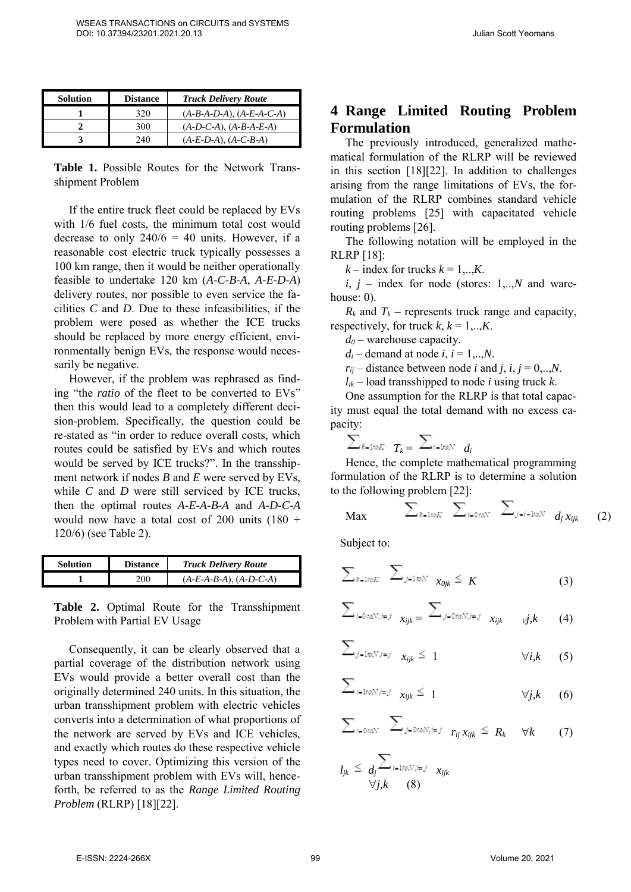| Solution | <b>Distance</b> | <b>Truck Delivery Route</b> |
|----------|-----------------|-----------------------------|
|          | 320             | $(A-B-A-D-A), (A-E-A-C-A)$  |
|          | 300             | $(A-D-C-A), (A-B-A-E-A)$    |
|          | 240             | $(A-E-D-A), (A-C-B-A)$      |

**Table 1.** Possible Routes for the Network Transshipment Problem

If the entire truck fleet could be replaced by EVs with 1/6 fuel costs, the minimum total cost would decrease to only  $240/6 = 40$  units. However, if a reasonable cost electric truck typically possesses a 100 km range, then it would be neither operationally feasible to undertake 120 km (*A-C-B-A*, *A-E-D-A*) delivery routes, nor possible to even service the facilities *C* and *D*. Due to these infeasibilities, if the problem were posed as whether the ICE trucks should be replaced by more energy efficient, environmentally benign EVs, the response would necessarily be negative.

However, if the problem was rephrased as finding "the *ratio* of the fleet to be converted to EVs" then this would lead to a completely different decision-problem. Specifically, the question could be re-stated as "in order to reduce overall costs, which routes could be satisfied by EVs and which routes would be served by ICE trucks?". In the transshipment network if nodes *B* and *E* were served by EVs, while *C* and *D* were still serviced by ICE trucks, then the optimal routes *A-E-A-B-A* and *A-D-C-A* would now have a total cost of 200 units  $(180 +$ 120/6) (see Table 2).

| <b>Solution</b> | <b>Distance</b> | <b>Truck Delivery Route</b> |
|-----------------|-----------------|-----------------------------|
|                 | 200             | $(A-E-A-B-A), (A-D-C-A)$    |

**Table 2.** Optimal Route for the Transshipment Problem with Partial EV Usage

Consequently, it can be clearly observed that a partial coverage of the distribution network using EVs would provide a better overall cost than the originally determined 240 units. In this situation, the urban transshipment problem with electric vehicles converts into a determination of what proportions of the network are served by EVs and ICE vehicles, and exactly which routes do these respective vehicle types need to cover. Optimizing this version of the urban transshipment problem with EVs will, henceforth, be referred to as the *Range Limited Routing Problem* (RLRP) [18][22].

### **4 Range Limited Routing Problem Formulation**

The previously introduced, generalized mathematical formulation of the RLRP will be reviewed in this section [18][22]. In addition to challenges arising from the range limitations of EVs, the formulation of the RLRP combines standard vehicle routing problems [25] with capacitated vehicle routing problems [26].

The following notation will be employed in the RLRP [18]:

 $k$  – index for trucks  $k = 1, \ldots, K$ .

 $i, j$  – index for node (stores: 1,..,*N* and warehouse: 0).

 $R_k$  and  $T_k$  – represents truck range and capacity, respectively, for truck  $k, k = 1, \ldots, K$ .

*d<sup>0</sup>* – warehouse capacity.

 $d_i$  – demand at node  $i$ ,  $i = 1,...,N$ .

 $r_{ii}$  – distance between node *i* and *j*, *i*, *j* = 0,...*N*.

 $l_{ik}$  – load transshipped to node *i* using truck *k*.

One assumption for the RLRP is that total capacity must equal the total demand with no excess capacity:

$$
\textstyle\sum_{k\text{-}\texttt{block}}\textcolor{red}{T_k} = \textcolor{red}{\sum_{i\text{-}\texttt{flow}}}\textcolor{red}{d_i}
$$

Hence, the complete mathematical programming formulation of the RLRP is to determine a solution to the following problem [22]:

$$
\text{Max} \qquad \sum_{k\text{-1}toK} \sum_{i\text{-0}toN} \sum_{j=i+\text{1}toN} d_j x_{ijk} \qquad (2)
$$

Subject to:

$$
\sum_{k=1 \text{ to } K} \sum_{j=1 \text{ to } N} \sum_{x_{0jk} \leq K} (3)
$$

$$
\sum_{i=0 \text{ rad } N, i=j} x_{ijk} = \sum_{j=0 \text{ rad } N, i=j} x_{ijk} \qquad (4)
$$

$$
\sum_{j=1\text{ to }N,i=j} x_{ijk} \leq 1 \qquad \forall i,k \qquad (5)
$$

$$
\sum_{i=1 \text{row}, i=j} x_{ijk} \leq 1 \qquad \forall j, k \qquad (6)
$$

$$
\sum_{i=0 \text{tan } V} \sum_{j=0 \text{tan } N, i=j} r_{ij} x_{ijk} \leq R_k \quad \forall k \qquad (7)
$$

$$
l_{jk} \leq \frac{\sum_{i=1 \text{ to } N, i=j} x_{ijk}}{\forall j, k} \quad (8)
$$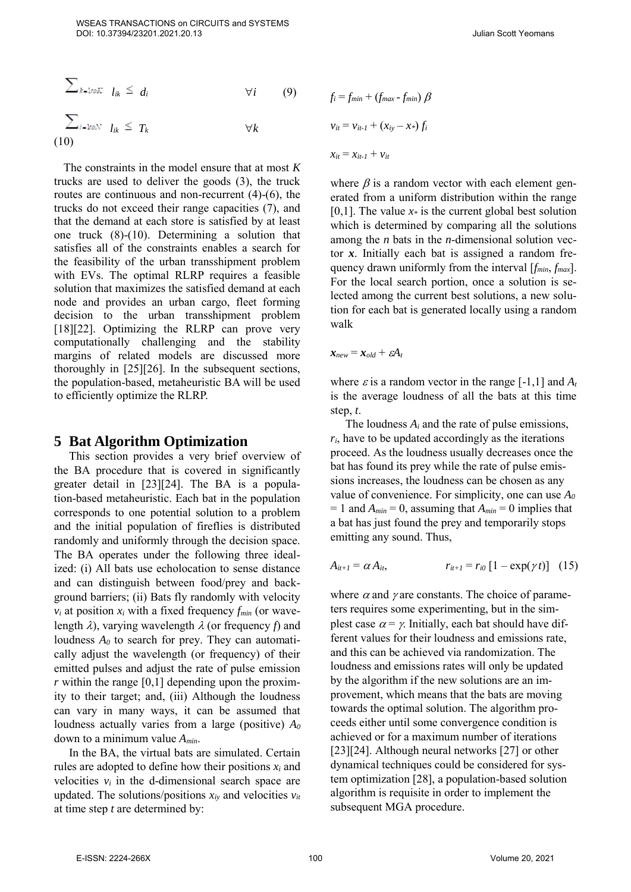$$
\sum_{k=1\text{row}} l_{ik} \leq d_i \qquad \forall i \qquad (9)
$$
\n
$$
\sum_{i=1\text{row}} l_{ik} \leq T_k \qquad \forall k
$$
\n(10)

The constraints in the model ensure that at most *K* trucks are used to deliver the goods (3), the truck routes are continuous and non-recurrent (4)-(6), the trucks do not exceed their range capacities (7), and that the demand at each store is satisfied by at least one truck (8)-(10). Determining a solution that satisfies all of the constraints enables a search for the feasibility of the urban transshipment problem with EVs. The optimal RLRP requires a feasible solution that maximizes the satisfied demand at each node and provides an urban cargo, fleet forming decision to the urban transshipment problem [18][22]. Optimizing the RLRP can prove very computationally challenging and the stability margins of related models are discussed more thoroughly in [25][26]. In the subsequent sections, the population-based, metaheuristic BA will be used to efficiently optimize the RLRP.

#### **5 Bat Algorithm Optimization**

This section provides a very brief overview of the BA procedure that is covered in significantly greater detail in [23][24]. The BA is a population-based metaheuristic. Each bat in the population corresponds to one potential solution to a problem and the initial population of fireflies is distributed randomly and uniformly through the decision space. The BA operates under the following three idealized: (i) All bats use echolocation to sense distance and can distinguish between food/prey and background barriers; (ii) Bats fly randomly with velocity  $v_i$  at position  $x_i$  with a fixed frequency  $f_{min}$  (or wavelength  $\lambda$ ), varying wavelength  $\lambda$  (or frequency *f*) and loudness *A<sup>0</sup>* to search for prey. They can automatically adjust the wavelength (or frequency) of their emitted pulses and adjust the rate of pulse emission  $r$  within the range  $[0,1]$  depending upon the proximity to their target; and, (iii) Although the loudness can vary in many ways, it can be assumed that loudness actually varies from a large (positive) *A<sup>0</sup>* down to a minimum value *Amin*.

In the BA, the virtual bats are simulated. Certain rules are adopted to define how their positions  $x_i$  and velocities  $v_i$  in the d-dimensional search space are updated. The solutions/positions  $x_i$  and velocities  $v_i$ at time step *t* are determined by:

$$
f_i = f_{min} + (f_{max} - f_{min}) \beta
$$
  

$$
v_{it} = v_{it-1} + (x_{iy} - x_*) f_i
$$
  

$$
x_{it} = x_{it-1} + v_{it}
$$

where  $\beta$  is a random vector with each element generated from a uniform distribution within the range [0,1]. The value *x\** is the current global best solution which is determined by comparing all the solutions among the *n* bats in the *n*-dimensional solution vector *x*. Initially each bat is assigned a random frequency drawn uniformly from the interval [*fmin*, *fmax*]. For the local search portion, once a solution is selected among the current best solutions, a new solution for each bat is generated locally using a random walk

 $\mathbf{x}_{new} = \mathbf{x}_{old} + \varepsilon A_t$ 

where  $\varepsilon$  is a random vector in the range [-1,1] and  $A_t$ is the average loudness of all the bats at this time step, *t*.

The loudness *A<sup>i</sup>* and the rate of pulse emissions,  $r_i$ , have to be updated accordingly as the iterations proceed. As the loudness usually decreases once the bat has found its prey while the rate of pulse emissions increases, the loudness can be chosen as any value of convenience. For simplicity, one can use *A<sup>0</sup>*  $= 1$  and  $A_{min} = 0$ , assuming that  $A_{min} = 0$  implies that a bat has just found the prey and temporarily stops emitting any sound. Thus,

$$
A_{it+1} = \alpha A_{it}, \qquad r_{it+1} = r_{i0} [1 - \exp(\gamma t)] \quad (15)
$$

where  $\alpha$  and  $\gamma$  are constants. The choice of parameters requires some experimenting, but in the simplest case  $\alpha = \gamma$ . Initially, each bat should have different values for their loudness and emissions rate, and this can be achieved via randomization. The loudness and emissions rates will only be updated by the algorithm if the new solutions are an improvement, which means that the bats are moving towards the optimal solution. The algorithm proceeds either until some convergence condition is achieved or for a maximum number of iterations [23][24]. Although neural networks [27] or other dynamical techniques could be considered for system optimization [28], a population-based solution algorithm is requisite in order to implement the subsequent MGA procedure.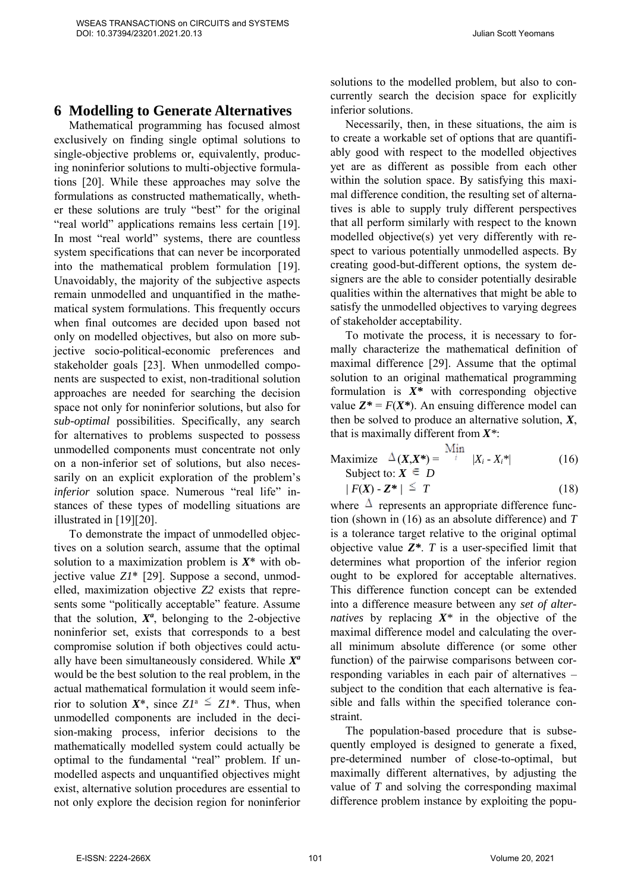#### **6 Modelling to Generate Alternatives**

Mathematical programming has focused almost exclusively on finding single optimal solutions to single-objective problems or, equivalently, producing noninferior solutions to multi-objective formulations [20]. While these approaches may solve the formulations as constructed mathematically, whether these solutions are truly "best" for the original "real world" applications remains less certain [19]. In most "real world" systems, there are countless system specifications that can never be incorporated into the mathematical problem formulation [19]. Unavoidably, the majority of the subjective aspects remain unmodelled and unquantified in the mathematical system formulations. This frequently occurs when final outcomes are decided upon based not only on modelled objectives, but also on more subjective socio-political-economic preferences and stakeholder goals [23]. When unmodelled components are suspected to exist, non-traditional solution approaches are needed for searching the decision space not only for noninferior solutions, but also for *sub-optimal* possibilities. Specifically, any search for alternatives to problems suspected to possess unmodelled components must concentrate not only on a non-inferior set of solutions, but also necessarily on an explicit exploration of the problem's *inferior* solution space. Numerous "real life" instances of these types of modelling situations are illustrated in [19][20].

To demonstrate the impact of unmodelled objectives on a solution search, assume that the optimal solution to a maximization problem is *X*\* with objective value *Z1*\* [29]. Suppose a second, unmodelled, maximization objective *Z2* exists that represents some "politically acceptable" feature. Assume that the solution,  $X^a$ , belonging to the 2-objective noninferior set, exists that corresponds to a best compromise solution if both objectives could actually have been simultaneously considered. While *X a* would be the best solution to the real problem, in the actual mathematical formulation it would seem inferior to solution  $X^*$ , since  $ZI^* \leq ZI^*$ . Thus, when unmodelled components are included in the decision-making process, inferior decisions to the mathematically modelled system could actually be optimal to the fundamental "real" problem. If unmodelled aspects and unquantified objectives might exist, alternative solution procedures are essential to not only explore the decision region for noninferior

solutions to the modelled problem, but also to concurrently search the decision space for explicitly inferior solutions.

Necessarily, then, in these situations, the aim is to create a workable set of options that are quantifiably good with respect to the modelled objectives yet are as different as possible from each other within the solution space. By satisfying this maximal difference condition, the resulting set of alternatives is able to supply truly different perspectives that all perform similarly with respect to the known modelled objective(s) yet very differently with respect to various potentially unmodelled aspects. By creating good-but-different options, the system designers are the able to consider potentially desirable qualities within the alternatives that might be able to satisfy the unmodelled objectives to varying degrees of stakeholder acceptability.

To motivate the process, it is necessary to formally characterize the mathematical definition of maximal difference [29]. Assume that the optimal solution to an original mathematical programming formulation is *X\** with corresponding objective value  $Z^* = F(X^*)$ . An ensuing difference model can then be solved to produce an alternative solution, *X*, that is maximally different from *X\**: A.C.

$$
\begin{array}{ll}\n\text{Maximize} & \Delta(X, X^*) = \frac{\text{Num}}{i} & |X_i - X_i^*| \\
\text{Subject to: } X \in D\n\end{array} \tag{16}
$$

$$
f(X) - Z^* \neq T \tag{18}
$$

where  $\Delta$  represents an appropriate difference function (shown in (16) as an absolute difference) and *T*  is a tolerance target relative to the original optimal objective value *Z\**. *T* is a user-specified limit that determines what proportion of the inferior region ought to be explored for acceptable alternatives. This difference function concept can be extended into a difference measure between any *set of alternatives* by replacing *X\** in the objective of the maximal difference model and calculating the overall minimum absolute difference (or some other function) of the pairwise comparisons between corresponding variables in each pair of alternatives – subject to the condition that each alternative is feasible and falls within the specified tolerance constraint.

The population-based procedure that is subsequently employed is designed to generate a fixed, pre-determined number of close-to-optimal, but maximally different alternatives, by adjusting the value of *T* and solving the corresponding maximal difference problem instance by exploiting the popu-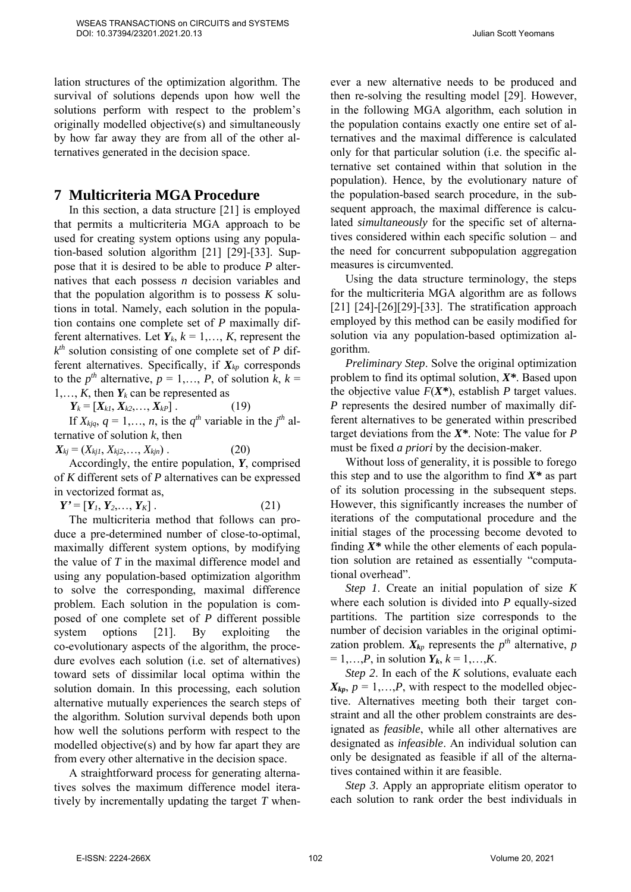lation structures of the optimization algorithm. The survival of solutions depends upon how well the solutions perform with respect to the problem's originally modelled objective(s) and simultaneously by how far away they are from all of the other alternatives generated in the decision space.

## **7 Multicriteria MGA Procedure**

In this section, a data structure [21] is employed that permits a multicriteria MGA approach to be used for creating system options using any population-based solution algorithm [21] [29]-[33]. Suppose that it is desired to be able to produce *P* alternatives that each possess *n* decision variables and that the population algorithm is to possess  $K$  solutions in total. Namely, each solution in the population contains one complete set of *P* maximally different alternatives. Let  $Y_k$ ,  $k = 1, \ldots, K$ , represent the *k th* solution consisting of one complete set of *P* different alternatives. Specifically, if *Xkp* corresponds to the  $p^{th}$  alternative,  $p = 1, \ldots, P$ , of solution  $k, k = 1$ 1,...,  $K$ , then  $Y_k$  can be represented as

 $Y_k = [X_{k1}, X_{k2}, \ldots, X_{kP}]$  . (19)

If  $X_{kjq}$ ,  $q = 1, \ldots, n$ , is the  $q^{th}$  variable in the  $j^{th}$  alternative of solution *k*, then

 $X_{ki} = (X_{ki1}, X_{ki2}, \ldots, X_{kin})$  . (20)

Accordingly, the entire population, *Y*, comprised of *K* different sets of *P* alternatives can be expressed in vectorized format as,

 $Y' = [Y_1, Y_2, \ldots, Y_K]$  . (21)

The multicriteria method that follows can produce a pre-determined number of close-to-optimal, maximally different system options, by modifying the value of *T* in the maximal difference model and using any population-based optimization algorithm to solve the corresponding, maximal difference problem. Each solution in the population is composed of one complete set of *P* different possible system options [21]. By exploiting the co-evolutionary aspects of the algorithm, the procedure evolves each solution (i.e. set of alternatives) toward sets of dissimilar local optima within the solution domain. In this processing, each solution alternative mutually experiences the search steps of the algorithm. Solution survival depends both upon how well the solutions perform with respect to the modelled objective(s) and by how far apart they are from every other alternative in the decision space.

A straightforward process for generating alternatives solves the maximum difference model iteratively by incrementally updating the target *T* whenever a new alternative needs to be produced and then re-solving the resulting model [29]. However, in the following MGA algorithm, each solution in the population contains exactly one entire set of alternatives and the maximal difference is calculated only for that particular solution (i.e. the specific alternative set contained within that solution in the population). Hence, by the evolutionary nature of the population-based search procedure, in the subsequent approach, the maximal difference is calculated *simultaneously* for the specific set of alternatives considered within each specific solution – and the need for concurrent subpopulation aggregation measures is circumvented.

Using the data structure terminology, the steps for the multicriteria MGA algorithm are as follows [21] [24]-[26][29]-[33]. The stratification approach employed by this method can be easily modified for solution via any population-based optimization algorithm.

*Preliminary Step*. Solve the original optimization problem to find its optimal solution, *X\**. Based upon the objective value  $F(X^*)$ , establish *P* target values. *P* represents the desired number of maximally different alternatives to be generated within prescribed target deviations from the *X\**. Note: The value for *P* must be fixed *a priori* by the decision-maker.

Without loss of generality, it is possible to forego this step and to use the algorithm to find *X\** as part of its solution processing in the subsequent steps. However, this significantly increases the number of iterations of the computational procedure and the initial stages of the processing become devoted to finding *X\** while the other elements of each population solution are retained as essentially "computational overhead".

*Step 1*. Create an initial population of size *K* where each solution is divided into *P* equally-sized partitions. The partition size corresponds to the number of decision variables in the original optimization problem.  $X_{kp}$  represents the  $p^{th}$  alternative,  $p$  $= 1,...,P$ , in solution  $Y_k$ ,  $k = 1,...,K$ .

*Step 2*. In each of the *K* solutions, evaluate each  $X_{kp}$ ,  $p = 1,...,P$ , with respect to the modelled objective. Alternatives meeting both their target constraint and all the other problem constraints are designated as *feasible*, while all other alternatives are designated as *infeasible*. An individual solution can only be designated as feasible if all of the alternatives contained within it are feasible.

*Step 3.* Apply an appropriate elitism operator to each solution to rank order the best individuals in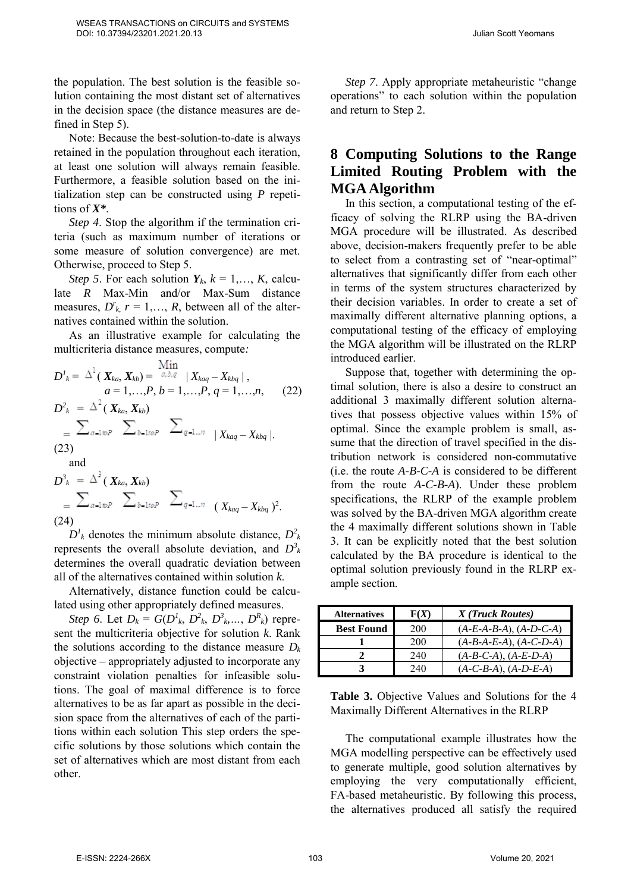the population. The best solution is the feasible solution containing the most distant set of alternatives in the decision space (the distance measures are defined in Step 5).

Note: Because the best-solution-to-date is always retained in the population throughout each iteration, at least one solution will always remain feasible. Furthermore, a feasible solution based on the initialization step can be constructed using *P* repetitions of *X\**.

*Step 4*. Stop the algorithm if the termination criteria (such as maximum number of iterations or some measure of solution convergence) are met. Otherwise, proceed to Step 5.

*Step 5*. For each solution  $Y_k$ ,  $k = 1, \ldots, K$ , calculate *R* Max-Min and/or Max-Sum distance measures,  $D^r_k$ ,  $r = 1, \ldots, R$ , between all of the alternatives contained within the solution.

As an illustrative example for calculating the multicriteria distance measures, compute*:*

$$
D'_{k} = \Delta^{1}(X_{ka}, X_{kb}) = \frac{\text{Min}}{a, b, q} |X_{kaq} - X_{kbq}|,
$$
  
\n
$$
a = 1,..., P, b = 1,..., P, q = 1,..., n, (22)
$$
  
\n
$$
D^{2}_{k} = \Delta^{2}(X_{ka}, X_{kb})
$$
  
\n
$$
= \sum_{a-\text{loop}} \sum_{b-\text{loop}} \sum_{q=\text{1}...n} |X_{kaq} - X_{kbq}|.
$$
  
\n(23)

$$
D^{3}_{k} = \Delta^{3}(X_{ka}, X_{kb})
$$
  
=  $\sum_{a=1}^{k} \sum_{b=1}^{k} \sum_{b=1}^{k} \sum_{q=1...n}^{k} (X_{kaq} - X_{kbq})^{2}$ .

 $D^1_k$  denotes the minimum absolute distance,  $D^2_k$ represents the overall absolute deviation, and  $D^3_k$ determines the overall quadratic deviation between all of the alternatives contained within solution *k*.

Alternatively, distance function could be calculated using other appropriately defined measures.

*Step 6*. Let  $D_k = G(D^l_k, D^2_k, D^3_k, ..., D^R_k)$  represent the multicriteria objective for solution *k*. Rank the solutions according to the distance measure  $D_k$ objective – appropriately adjusted to incorporate any constraint violation penalties for infeasible solutions. The goal of maximal difference is to force alternatives to be as far apart as possible in the decision space from the alternatives of each of the partitions within each solution This step orders the specific solutions by those solutions which contain the set of alternatives which are most distant from each other.

*Step 7*. Apply appropriate metaheuristic "change operations" to each solution within the population and return to Step 2.

# **8 Computing Solutions to the Range Limited Routing Problem with the MGA Algorithm**

In this section, a computational testing of the efficacy of solving the RLRP using the BA-driven MGA procedure will be illustrated. As described above, decision-makers frequently prefer to be able to select from a contrasting set of "near-optimal" alternatives that significantly differ from each other in terms of the system structures characterized by their decision variables. In order to create a set of maximally different alternative planning options, a computational testing of the efficacy of employing the MGA algorithm will be illustrated on the RLRP introduced earlier.

Suppose that, together with determining the optimal solution, there is also a desire to construct an additional 3 maximally different solution alternatives that possess objective values within 15% of optimal. Since the example problem is small, assume that the direction of travel specified in the distribution network is considered non-commutative (i.e. the route *A-B-C-A* is considered to be different from the route *A-C-B-A*). Under these problem specifications, the RLRP of the example problem was solved by the BA-driven MGA algorithm create the 4 maximally different solutions shown in Table 3. It can be explicitly noted that the best solution calculated by the BA procedure is identical to the optimal solution previously found in the RLRP example section.

| <b>Alternatives</b> | F(X) | X (Truck Routes)                   |
|---------------------|------|------------------------------------|
| <b>Best Found</b>   | 200  | $(A-E-A-B-A), (A-D-C-A)$           |
|                     | 200  | $(A-B-A-E-A), (A-C-D-A)$           |
|                     | 240  | $(A-B-C-A), (A-E-D-A)$             |
|                     | 240  | $(A - C - B - A), (A - D - E - A)$ |

**Table 3.** Objective Values and Solutions for the 4 Maximally Different Alternatives in the RLRP

The computational example illustrates how the MGA modelling perspective can be effectively used to generate multiple, good solution alternatives by employing the very computationally efficient, FA-based metaheuristic. By following this process, the alternatives produced all satisfy the required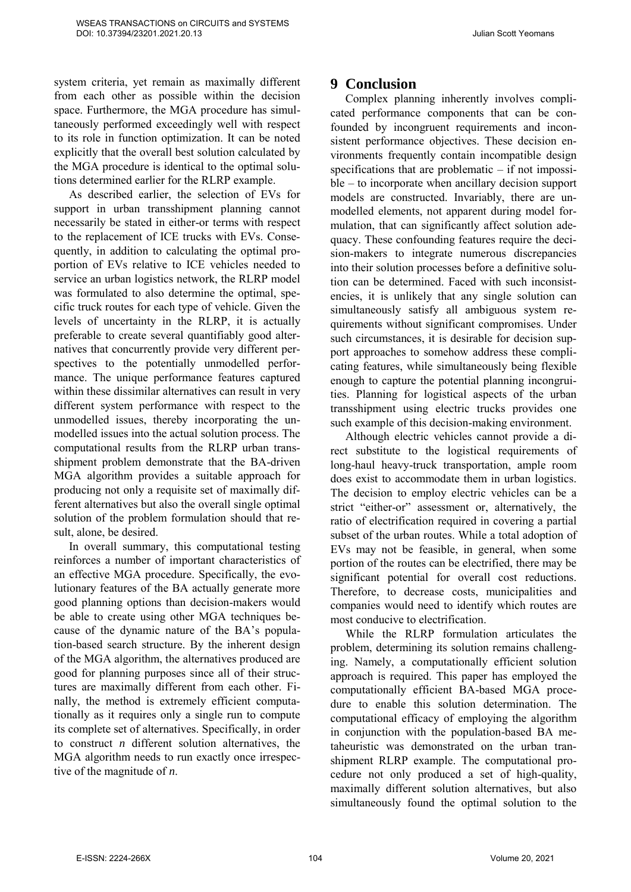system criteria, yet remain as maximally different from each other as possible within the decision space. Furthermore, the MGA procedure has simultaneously performed exceedingly well with respect to its role in function optimization. It can be noted explicitly that the overall best solution calculated by the MGA procedure is identical to the optimal solutions determined earlier for the RLRP example.

As described earlier, the selection of EVs for support in urban transshipment planning cannot necessarily be stated in either-or terms with respect to the replacement of ICE trucks with EVs. Consequently, in addition to calculating the optimal proportion of EVs relative to ICE vehicles needed to service an urban logistics network, the RLRP model was formulated to also determine the optimal, specific truck routes for each type of vehicle. Given the levels of uncertainty in the RLRP, it is actually preferable to create several quantifiably good alternatives that concurrently provide very different perspectives to the potentially unmodelled performance. The unique performance features captured within these dissimilar alternatives can result in very different system performance with respect to the unmodelled issues, thereby incorporating the unmodelled issues into the actual solution process. The computational results from the RLRP urban transshipment problem demonstrate that the BA-driven MGA algorithm provides a suitable approach for producing not only a requisite set of maximally different alternatives but also the overall single optimal solution of the problem formulation should that result, alone, be desired.

In overall summary, this computational testing reinforces a number of important characteristics of an effective MGA procedure. Specifically, the evolutionary features of the BA actually generate more good planning options than decision-makers would be able to create using other MGA techniques because of the dynamic nature of the BA's population-based search structure. By the inherent design of the MGA algorithm, the alternatives produced are good for planning purposes since all of their structures are maximally different from each other. Finally, the method is extremely efficient computationally as it requires only a single run to compute its complete set of alternatives. Specifically, in order to construct *n* different solution alternatives, the MGA algorithm needs to run exactly once irrespective of the magnitude of *n*.

### **9 Conclusion**

Complex planning inherently involves complicated performance components that can be confounded by incongruent requirements and inconsistent performance objectives. These decision environments frequently contain incompatible design specifications that are problematic  $-$  if not impossible – to incorporate when ancillary decision support models are constructed. Invariably, there are unmodelled elements, not apparent during model formulation, that can significantly affect solution adequacy. These confounding features require the decision-makers to integrate numerous discrepancies into their solution processes before a definitive solution can be determined. Faced with such inconsistencies, it is unlikely that any single solution can simultaneously satisfy all ambiguous system requirements without significant compromises. Under such circumstances, it is desirable for decision support approaches to somehow address these complicating features, while simultaneously being flexible enough to capture the potential planning incongruities. Planning for logistical aspects of the urban transshipment using electric trucks provides one such example of this decision-making environment.

Although electric vehicles cannot provide a direct substitute to the logistical requirements of long-haul heavy-truck transportation, ample room does exist to accommodate them in urban logistics. The decision to employ electric vehicles can be a strict "either-or" assessment or, alternatively, the ratio of electrification required in covering a partial subset of the urban routes. While a total adoption of EVs may not be feasible, in general, when some portion of the routes can be electrified, there may be significant potential for overall cost reductions. Therefore, to decrease costs, municipalities and companies would need to identify which routes are most conducive to electrification.

While the RLRP formulation articulates the problem, determining its solution remains challenging. Namely, a computationally efficient solution approach is required. This paper has employed the computationally efficient BA-based MGA procedure to enable this solution determination. The computational efficacy of employing the algorithm in conjunction with the population-based BA metaheuristic was demonstrated on the urban transhipment RLRP example. The computational procedure not only produced a set of high-quality, maximally different solution alternatives, but also simultaneously found the optimal solution to the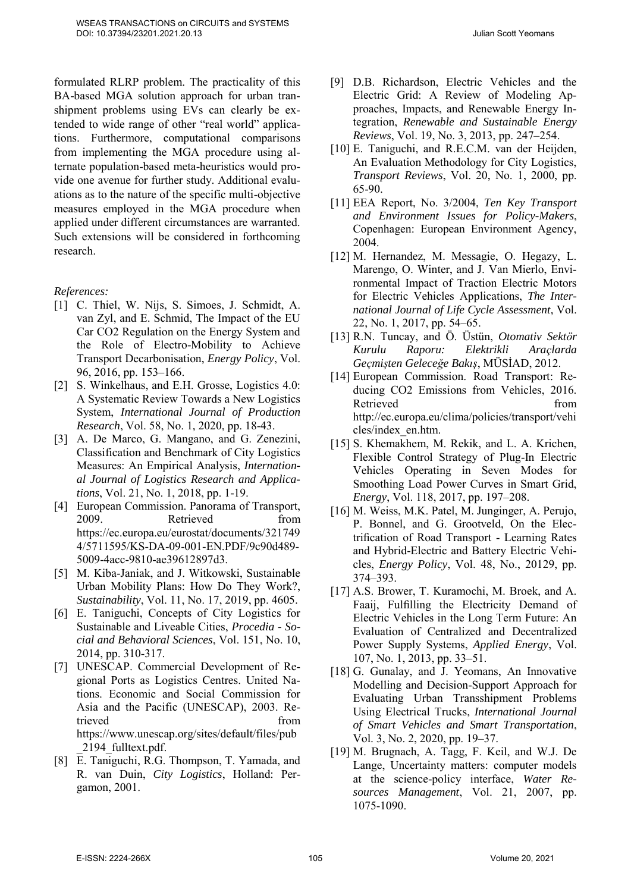formulated RLRP problem. The practicality of this BA-based MGA solution approach for urban transhipment problems using EVs can clearly be extended to wide range of other "real world" applications. Furthermore, computational comparisons from implementing the MGA procedure using alternate population-based meta-heuristics would provide one avenue for further study. Additional evaluations as to the nature of the specific multi-objective measures employed in the MGA procedure when applied under different circumstances are warranted. Such extensions will be considered in forthcoming research.

*References:*

- [1] C. Thiel, W. Nijs, S. Simoes, J. Schmidt, A. van Zyl, and E. Schmid, The Impact of the EU Car CO2 Regulation on the Energy System and the Role of Electro-Mobility to Achieve Transport Decarbonisation, *Energy Policy*, Vol. 96, 2016, pp. 153–166.
- [2] S. Winkelhaus, and E.H. Grosse, Logistics 4.0: A Systematic Review Towards a New Logistics System, *International Journal of Production Research*, Vol. 58, No. 1, 2020, pp. 18-43.
- [3] A. De Marco, G. Mangano, and G. Zenezini, Classification and Benchmark of City Logistics Measures: An Empirical Analysis, *International Journal of Logistics Research and Applications*, Vol. 21, No. 1, 2018, pp. 1-19.
- [4] European Commission. Panorama of Transport, 2009. Retrieved from https://ec.europa.eu/eurostat/documents/321749 4/5711595/KS-DA-09-001-EN.PDF/9c90d489- 5009-4acc-9810-ae39612897d3.
- [5] M. Kiba-Janiak, and J. Witkowski, Sustainable Urban Mobility Plans: How Do They Work?, *Sustainability*, Vol. 11, No. 17, 2019, pp. 4605.
- [6] E. Taniguchi, Concepts of City Logistics for Sustainable and Liveable Cities, *Procedia - Social and Behavioral Sciences*, Vol. 151, No. 10, 2014, pp. 310-317.
- [7] UNESCAP. Commercial Development of Regional Ports as Logistics Centres. United Nations. Economic and Social Commission for Asia and the Pacific (UNESCAP), 2003. Retrieved from  $\mathbf{f}$ https://www.unescap.org/sites/default/files/pub \_2194\_fulltext.pdf.
- [8] E. Taniguchi, R.G. Thompson, T. Yamada, and R. van Duin, *City Logistics*, Holland: Pergamon, 2001.
- [9] D.B. Richardson, Electric Vehicles and the Electric Grid: A Review of Modeling Approaches, Impacts, and Renewable Energy Integration, *Renewable and Sustainable Energy Reviews*, Vol. 19, No. 3, 2013, pp. 247–254.
- [10] E. Taniguchi, and R.E.C.M. van der Heijden, An Evaluation Methodology for City Logistics, *Transport Reviews*, Vol. 20, No. 1, 2000, pp. 65-90.
- [11] EEA Report, No. 3/2004, *Ten Key Transport and Environment Issues for Policy-Makers*, Copenhagen: European Environment Agency, 2004.
- [12] M. Hernandez, M. Messagie, O. Hegazy, L. Marengo, O. Winter, and J. Van Mierlo, Environmental Impact of Traction Electric Motors for Electric Vehicles Applications, *The International Journal of Life Cycle Assessment*, Vol. 22, No. 1, 2017, pp. 54–65.
- [13] R.N. Tuncay, and Ö. Üstün, *Otomativ Sektör Kurulu Raporu: Elektrikli Araçlarda Geçmişten Geleceğe Bakış*, MÜSİAD, 2012.
- [14] European Commission. Road Transport: Reducing CO2 Emissions from Vehicles, 2016. Retrieved from the from the set of  $\mathbb{R}^n$ http://ec.europa.eu/clima/policies/transport/vehi cles/index\_en.htm.
- [15] S. Khemakhem, M. Rekik, and L. A. Krichen, Flexible Control Strategy of Plug-In Electric Vehicles Operating in Seven Modes for Smoothing Load Power Curves in Smart Grid, *Energy*, Vol. 118, 2017, pp. 197–208.
- [16] M. Weiss, M.K. Patel, M. Junginger, A. Perujo, P. Bonnel, and G. Grootveld, On the Electrification of Road Transport - Learning Rates and Hybrid-Electric and Battery Electric Vehicles, *Energy Policy*, Vol. 48, No., 20129, pp. 374–393.
- [17] A.S. Brower, T. Kuramochi, M. Broek, and A. Faaij, Fulfilling the Electricity Demand of Electric Vehicles in the Long Term Future: An Evaluation of Centralized and Decentralized Power Supply Systems, *Applied Energy*, Vol. 107, No. 1, 2013, pp. 33–51.
- [18] G. Gunalay, and J. Yeomans, An Innovative Modelling and Decision-Support Approach for Evaluating Urban Transshipment Problems Using Electrical Trucks, *International Journal of Smart Vehicles and Smart Transportation*, Vol. 3, No. 2, 2020, pp. 19–37.
- [19] M. Brugnach, A. Tagg, F. Keil, and W.J. De Lange, Uncertainty matters: computer models at the science-policy interface, *Water Resources Management*, Vol. 21, 2007, pp. 1075-1090.